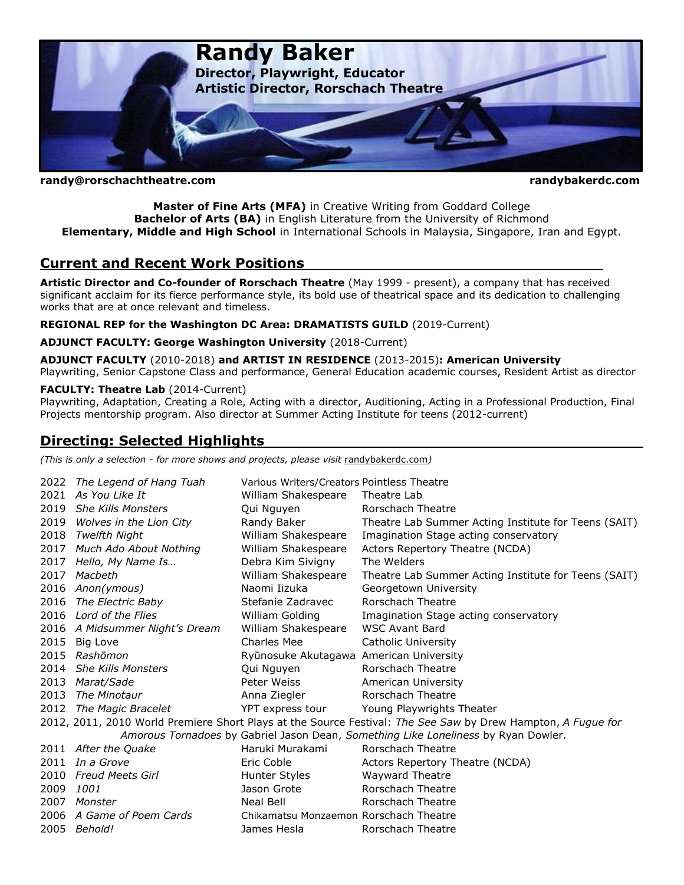

**randy@rorschachtheatre.com randybakerdc.com**

**Master of Fine Arts (MFA)** in Creative Writing from Goddard College **Bachelor of Arts (BA)** in English Literature from the University of Richmond **Elementary, Middle and High School** in International Schools in Malaysia, Singapore, Iran and Egypt.

## **Current and Recent Work Positions**

**Artistic Director and Co-founder of Rorschach Theatre** (May 1999 - present), a company that has received significant acclaim for its fierce performance style, its bold use of theatrical space and its dedication to challenging works that are at once relevant and timeless.

**REGIONAL REP for the Washington DC Area: DRAMATISTS GUILD** (2019-Current)

#### **ADJUNCT FACULTY: George Washington University** (2018-Current)

**ADJUNCT FACULTY** (2010-2018) **and ARTIST IN RESIDENCE** (2013-2015)**: American University**  Playwriting, Senior Capstone Class and performance, General Education academic courses, Resident Artist as director

#### **FACULTY: Theatre Lab** (2014-Current)

Playwriting, Adaptation, Creating a Role, Acting with a director, Auditioning, Acting in a Professional Production, Final Projects mentorship program. Also director at Summer Acting Institute for teens (2012-current)

# **Directing: Selected Highlights**

*(This is only a selection - for more shows and projects, please visit* [randybakerdc.com](http://www.randybakerdc.wordpress.com/)*)*

|                                                                                                              | 2022 The Legend of Hang Tuah   | Various Writers/Creators Pointless Theatre |                                                      |
|--------------------------------------------------------------------------------------------------------------|--------------------------------|--------------------------------------------|------------------------------------------------------|
| 2021                                                                                                         | As You Like It                 | William Shakespeare                        | Theatre Lab                                          |
| 2019                                                                                                         | <b>She Kills Monsters</b>      | Qui Nguyen                                 | Rorschach Theatre                                    |
| 2019                                                                                                         | Wolves in the Lion City        | Randy Baker                                | Theatre Lab Summer Acting Institute for Teens (SAIT) |
| 2018                                                                                                         | Twelfth Night                  | William Shakespeare                        | Imagination Stage acting conservatory                |
| 2017                                                                                                         | Much Ado About Nothing         | William Shakespeare                        | Actors Repertory Theatre (NCDA)                      |
| 2017                                                                                                         | Hello, My Name Is              | Debra Kim Sivigny                          | The Welders                                          |
| 2017                                                                                                         | Macbeth                        | William Shakespeare                        | Theatre Lab Summer Acting Institute for Teens (SAIT) |
|                                                                                                              | 2016 Anon(ymous)               | Naomi Iizuka                               | Georgetown University                                |
| 2016                                                                                                         | The Electric Baby              | Stefanie Zadravec                          | Rorschach Theatre                                    |
|                                                                                                              | 2016 Lord of the Flies         | William Golding                            | Imagination Stage acting conservatory                |
|                                                                                                              | 2016 A Midsummer Night's Dream | William Shakespeare                        | <b>WSC Avant Bard</b>                                |
| 2015                                                                                                         | Big Love                       | Charles Mee                                | Catholic University                                  |
| 2015                                                                                                         | Rashōmon                       | Ryūnosuke Akutagawa American University    |                                                      |
| 2014                                                                                                         | <b>She Kills Monsters</b>      | Qui Nguyen                                 | Rorschach Theatre                                    |
| 2013                                                                                                         | Marat/Sade                     | Peter Weiss                                | American University                                  |
| 2013                                                                                                         | The Minotaur                   | Anna Ziegler                               | Rorschach Theatre                                    |
| 2012                                                                                                         | The Magic Bracelet             | YPT express tour                           | Young Playwrights Theater                            |
| 2012, 2011, 2010 World Premiere Short Plays at the Source Festival: The See Saw by Drew Hampton, A Fugue for |                                |                                            |                                                      |
| Amorous Tornadoes by Gabriel Jason Dean, Something Like Loneliness by Ryan Dowler.                           |                                |                                            |                                                      |
|                                                                                                              | 2011 After the Quake           | Haruki Murakami                            | Rorschach Theatre                                    |
|                                                                                                              | $2011$ In a Grove              | Eric Coble                                 | Actors Repertory Theatre (NCDA)                      |
| 2010                                                                                                         | Freud Meets Girl               | Hunter Styles                              | <b>Wayward Theatre</b>                               |
| 2009                                                                                                         | 1001                           | Jason Grote                                | Rorschach Theatre                                    |
| 2007                                                                                                         | Monster                        | Neal Bell                                  | Rorschach Theatre                                    |
|                                                                                                              | 2006 A Game of Poem Cards      | Chikamatsu Monzaemon Rorschach Theatre     |                                                      |
|                                                                                                              | 2005 Behold!                   | James Hesla                                | Rorschach Theatre                                    |
|                                                                                                              |                                |                                            |                                                      |